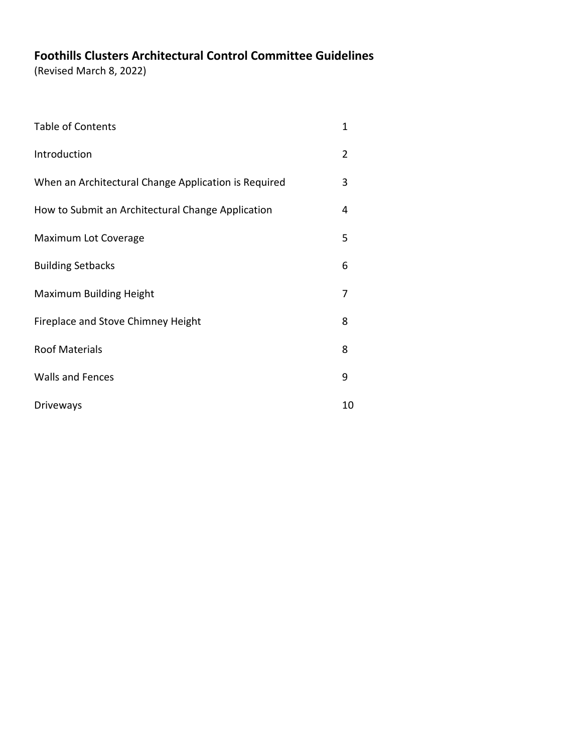# **Foothills Clusters Architectural Control Committee Guidelines**

(Revised March 8, 2022)

| <b>Table of Contents</b>                             | 1  |
|------------------------------------------------------|----|
| Introduction                                         | 2  |
| When an Architectural Change Application is Required | 3  |
| How to Submit an Architectural Change Application    | 4  |
| Maximum Lot Coverage                                 | 5  |
| <b>Building Setbacks</b>                             | 6  |
| <b>Maximum Building Height</b>                       | 7  |
| Fireplace and Stove Chimney Height                   | 8  |
| <b>Roof Materials</b>                                | 8  |
| <b>Walls and Fences</b>                              | 9  |
| <b>Driveways</b>                                     | 10 |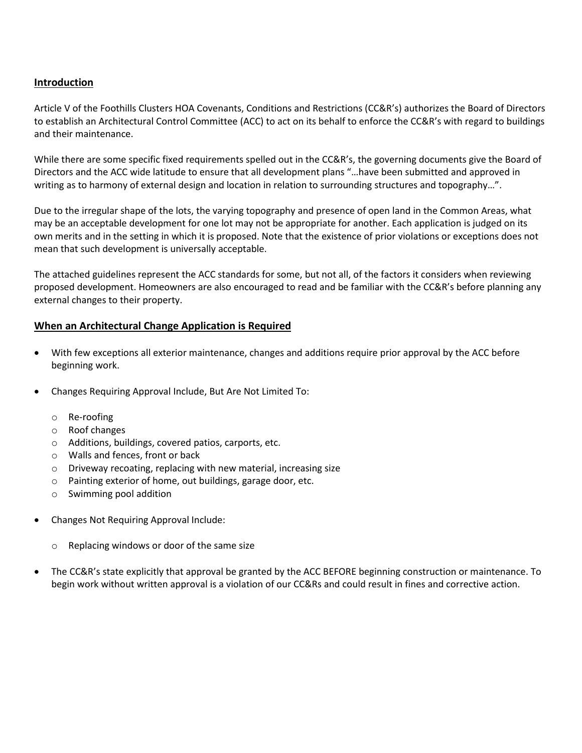#### **Introduction**

Article V of the Foothills Clusters HOA Covenants, Conditions and Restrictions (CC&R's) authorizes the Board of Directors to establish an Architectural Control Committee (ACC) to act on its behalf to enforce the CC&R's with regard to buildings and their maintenance.

While there are some specific fixed requirements spelled out in the CC&R's, the governing documents give the Board of Directors and the ACC wide latitude to ensure that all development plans "…have been submitted and approved in writing as to harmony of external design and location in relation to surrounding structures and topography…".

Due to the irregular shape of the lots, the varying topography and presence of open land in the Common Areas, what may be an acceptable development for one lot may not be appropriate for another. Each application is judged on its own merits and in the setting in which it is proposed. Note that the existence of prior violations or exceptions does not mean that such development is universally acceptable.

The attached guidelines represent the ACC standards for some, but not all, of the factors it considers when reviewing proposed development. Homeowners are also encouraged to read and be familiar with the CC&R's before planning any external changes to their property.

#### **When an Architectural Change Application is Required**

- With few exceptions all exterior maintenance, changes and additions require prior approval by the ACC before beginning work.
- Changes Requiring Approval Include, But Are Not Limited To:
	- o Re-roofing
	- o Roof changes
	- o Additions, buildings, covered patios, carports, etc.
	- o Walls and fences, front or back
	- o Driveway recoating, replacing with new material, increasing size
	- o Painting exterior of home, out buildings, garage door, etc.
	- o Swimming pool addition
- Changes Not Requiring Approval Include:
	- o Replacing windows or door of the same size
- The CC&R's state explicitly that approval be granted by the ACC BEFORE beginning construction or maintenance. To begin work without written approval is a violation of our CC&Rs and could result in fines and corrective action.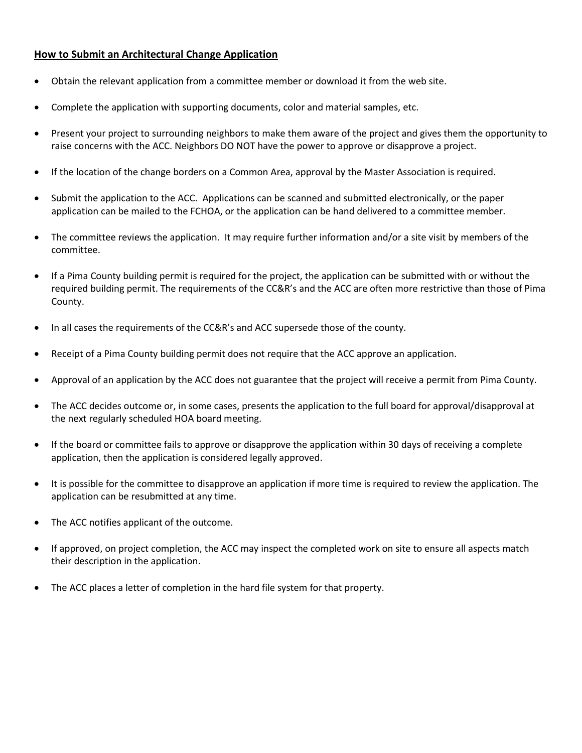## **How to Submit an Architectural Change Application**

- Obtain the relevant application from a committee member or download it from the web site.
- Complete the application with supporting documents, color and material samples, etc.
- Present your project to surrounding neighbors to make them aware of the project and gives them the opportunity to raise concerns with the ACC. Neighbors DO NOT have the power to approve or disapprove a project.
- If the location of the change borders on a Common Area, approval by the Master Association is required.
- Submit the application to the ACC. Applications can be scanned and submitted electronically, or the paper application can be mailed to the FCHOA, or the application can be hand delivered to a committee member.
- The committee reviews the application. It may require further information and/or a site visit by members of the committee.
- If a Pima County building permit is required for the project, the application can be submitted with or without the required building permit. The requirements of the CC&R's and the ACC are often more restrictive than those of Pima County.
- In all cases the requirements of the CC&R's and ACC supersede those of the county.
- Receipt of a Pima County building permit does not require that the ACC approve an application.
- Approval of an application by the ACC does not guarantee that the project will receive a permit from Pima County.
- The ACC decides outcome or, in some cases, presents the application to the full board for approval/disapproval at the next regularly scheduled HOA board meeting.
- If the board or committee fails to approve or disapprove the application within 30 days of receiving a complete application, then the application is considered legally approved.
- It is possible for the committee to disapprove an application if more time is required to review the application. The application can be resubmitted at any time.
- The ACC notifies applicant of the outcome.
- If approved, on project completion, the ACC may inspect the completed work on site to ensure all aspects match their description in the application.
- The ACC places a letter of completion in the hard file system for that property.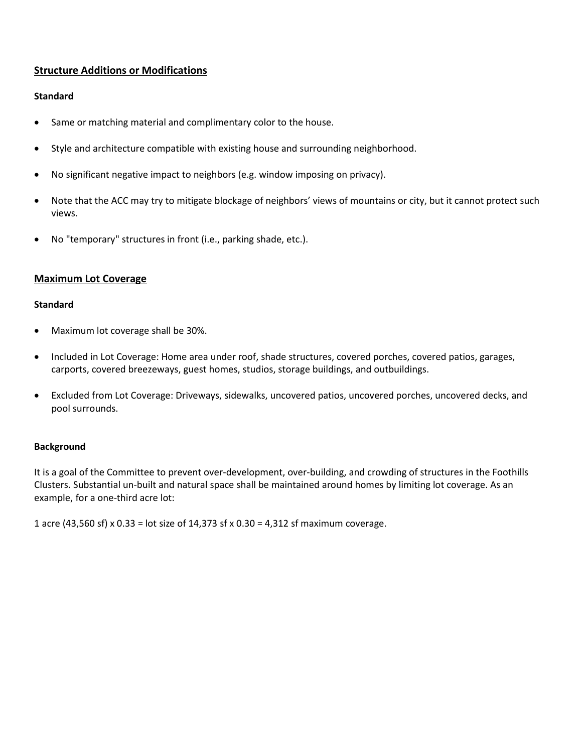## **Structure Additions or Modifications**

## **Standard**

- Same or matching material and complimentary color to the house.
- Style and architecture compatible with existing house and surrounding neighborhood.
- No significant negative impact to neighbors (e.g. window imposing on privacy).
- Note that the ACC may try to mitigate blockage of neighbors' views of mountains or city, but it cannot protect such views.
- No "temporary" structures in front (i.e., parking shade, etc.).

#### **Maximum Lot Coverage**

#### **Standard**

- Maximum lot coverage shall be 30%.
- Included in Lot Coverage: Home area under roof, shade structures, covered porches, covered patios, garages, carports, covered breezeways, guest homes, studios, storage buildings, and outbuildings.
- Excluded from Lot Coverage: Driveways, sidewalks, uncovered patios, uncovered porches, uncovered decks, and pool surrounds.

#### **Background**

It is a goal of the Committee to prevent over-development, over-building, and crowding of structures in the Foothills Clusters. Substantial un-built and natural space shall be maintained around homes by limiting lot coverage. As an example, for a one-third acre lot:

1 acre (43,560 sf) x 0.33 = lot size of 14,373 sf x 0.30 = 4,312 sf maximum coverage.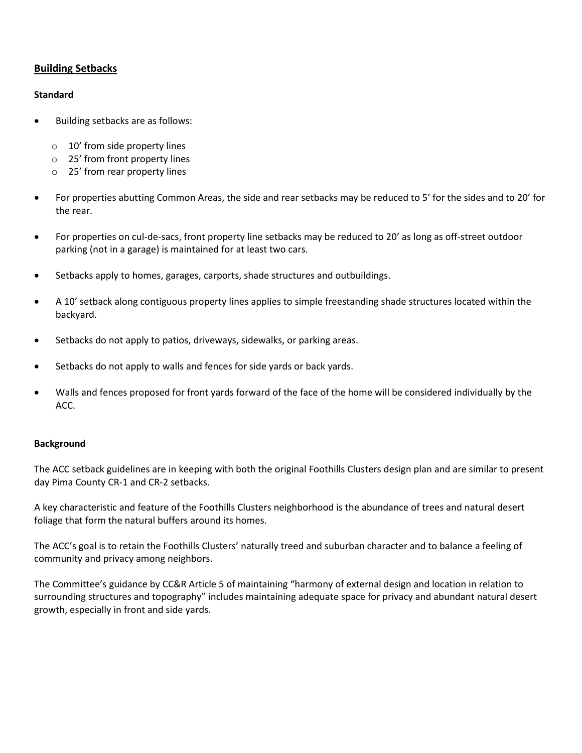## **Building Setbacks**

#### **Standard**

- Building setbacks are as follows:
	- o 10' from side property lines
	- o 25' from front property lines
	- o 25' from rear property lines
- For properties abutting Common Areas, the side and rear setbacks may be reduced to 5' for the sides and to 20' for the rear.
- For properties on cul-de-sacs, front property line setbacks may be reduced to 20' as long as off-street outdoor parking (not in a garage) is maintained for at least two cars.
- Setbacks apply to homes, garages, carports, shade structures and outbuildings.
- A 10' setback along contiguous property lines applies to simple freestanding shade structures located within the backyard.
- Setbacks do not apply to patios, driveways, sidewalks, or parking areas.
- Setbacks do not apply to walls and fences for side yards or back yards.
- Walls and fences proposed for front yards forward of the face of the home will be considered individually by the ACC.

#### **Background**

The ACC setback guidelines are in keeping with both the original Foothills Clusters design plan and are similar to present day Pima County CR-1 and CR-2 setbacks.

A key characteristic and feature of the Foothills Clusters neighborhood is the abundance of trees and natural desert foliage that form the natural buffers around its homes.

The ACC's goal is to retain the Foothills Clusters' naturally treed and suburban character and to balance a feeling of community and privacy among neighbors.

The Committee's guidance by CC&R Article 5 of maintaining "harmony of external design and location in relation to surrounding structures and topography" includes maintaining adequate space for privacy and abundant natural desert growth, especially in front and side yards.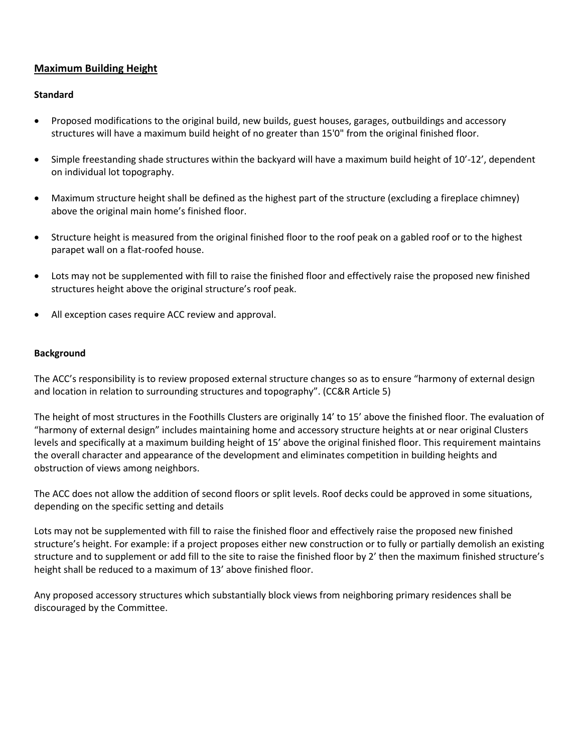## **Maximum Building Height**

## **Standard**

- Proposed modifications to the original build, new builds, guest houses, garages, outbuildings and accessory structures will have a maximum build height of no greater than 15'0" from the original finished floor.
- Simple freestanding shade structures within the backyard will have a maximum build height of 10'-12', dependent on individual lot topography.
- Maximum structure height shall be defined as the highest part of the structure (excluding a fireplace chimney) above the original main home's finished floor.
- Structure height is measured from the original finished floor to the roof peak on a gabled roof or to the highest parapet wall on a flat-roofed house.
- Lots may not be supplemented with fill to raise the finished floor and effectively raise the proposed new finished structures height above the original structure's roof peak.
- All exception cases require ACC review and approval.

#### **Background**

The ACC's responsibility is to review proposed external structure changes so as to ensure "harmony of external design and location in relation to surrounding structures and topography". (CC&R Article 5)

The height of most structures in the Foothills Clusters are originally 14' to 15' above the finished floor. The evaluation of "harmony of external design" includes maintaining home and accessory structure heights at or near original Clusters levels and specifically at a maximum building height of 15' above the original finished floor. This requirement maintains the overall character and appearance of the development and eliminates competition in building heights and obstruction of views among neighbors.

The ACC does not allow the addition of second floors or split levels. Roof decks could be approved in some situations, depending on the specific setting and details

Lots may not be supplemented with fill to raise the finished floor and effectively raise the proposed new finished structure's height. For example: if a project proposes either new construction or to fully or partially demolish an existing structure and to supplement or add fill to the site to raise the finished floor by 2' then the maximum finished structure's height shall be reduced to a maximum of 13' above finished floor.

Any proposed accessory structures which substantially block views from neighboring primary residences shall be discouraged by the Committee.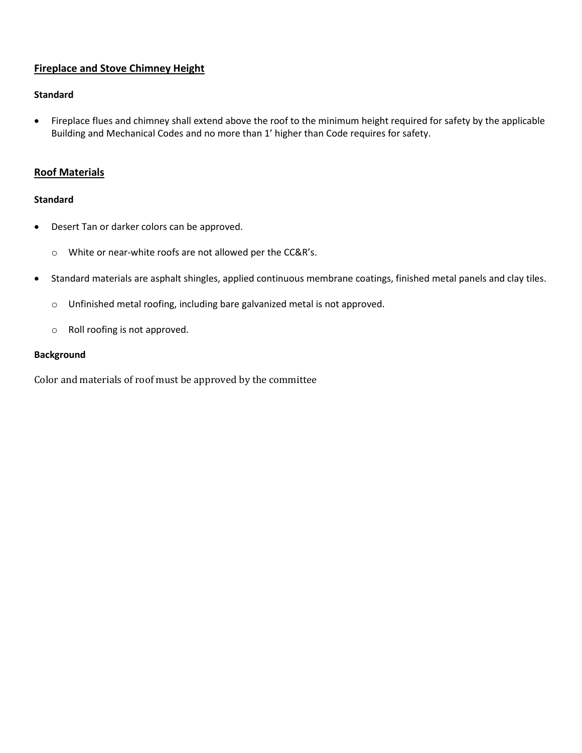## **Fireplace and Stove Chimney Height**

## **Standard**

• Fireplace flues and chimney shall extend above the roof to the minimum height required for safety by the applicable Building and Mechanical Codes and no more than 1' higher than Code requires for safety.

## **Roof Materials**

#### **Standard**

- Desert Tan or darker colors can be approved.
	- o White or near-white roofs are not allowed per the CC&R's.
- Standard materials are asphalt shingles, applied continuous membrane coatings, finished metal panels and clay tiles.
	- o Unfinished metal roofing, including bare galvanized metal is not approved.
	- o Roll roofing is not approved.

#### **Background**

Color and materials of roof must be approved by the committee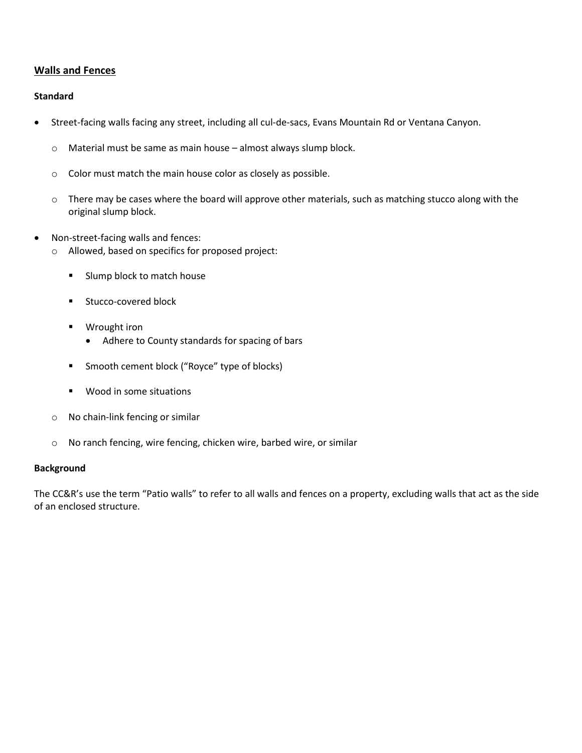## **Walls and Fences**

## **Standard**

- Street-facing walls facing any street, including all cul-de-sacs, Evans Mountain Rd or Ventana Canyon.
	- o Material must be same as main house almost always slump block.
	- o Color must match the main house color as closely as possible.
	- o There may be cases where the board will approve other materials, such as matching stucco along with the original slump block.
- Non-street-facing walls and fences:
	- o Allowed, based on specifics for proposed project:
		- Slump block to match house
		- Stucco-covered block
		- Wrought iron
			- Adhere to County standards for spacing of bars
		- Smooth cement block ("Royce" type of blocks)
		- Wood in some situations
	- o No chain-link fencing or similar
	- o No ranch fencing, wire fencing, chicken wire, barbed wire, or similar

#### **Background**

The CC&R's use the term "Patio walls" to refer to all walls and fences on a property, excluding walls that act as the side of an enclosed structure.